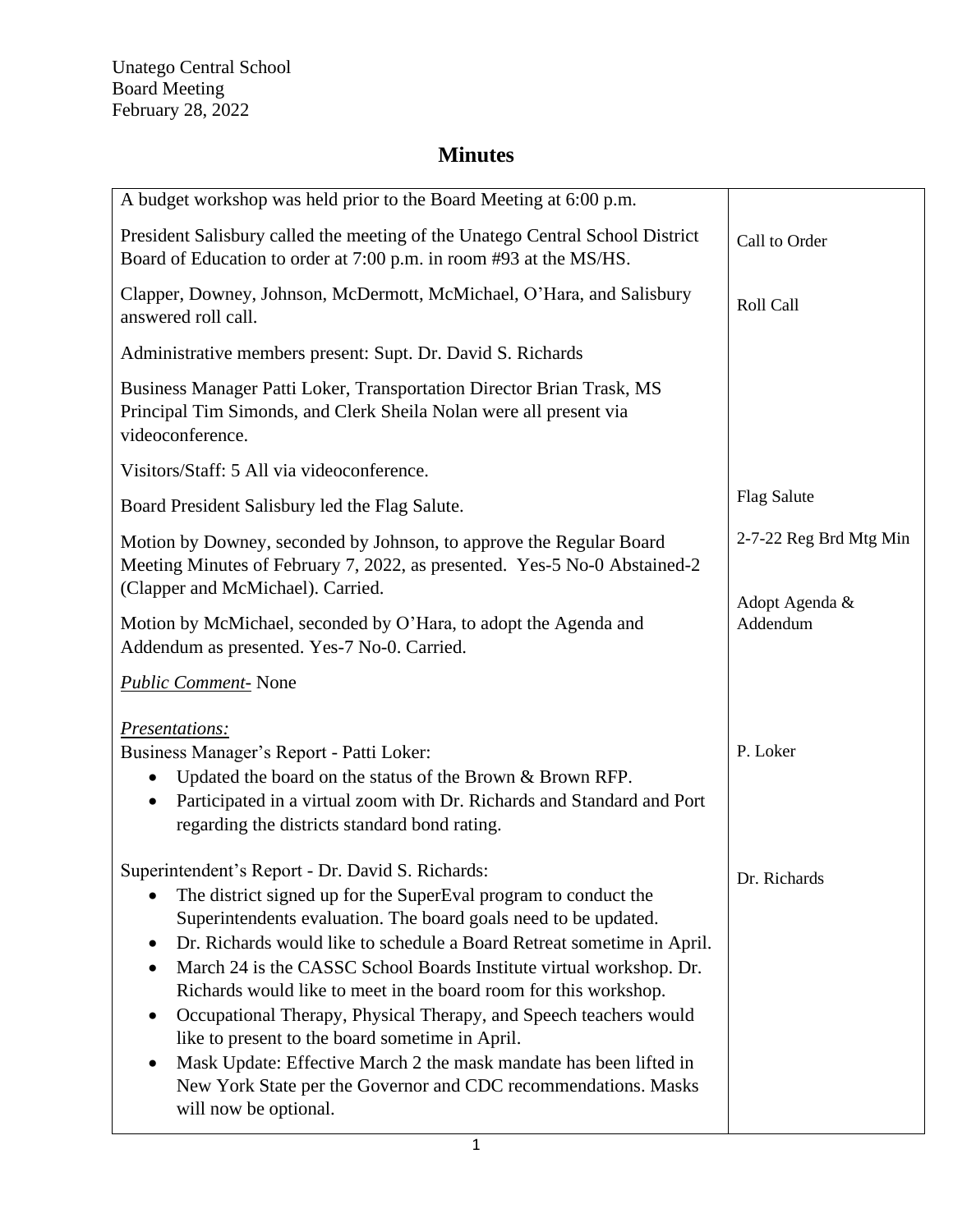| A budget workshop was held prior to the Board Meeting at 6:00 p.m.                                                                                                                                                                                                                                                                                                                                                                                                                                                                                                                                                                                                                                                                  |                                          |
|-------------------------------------------------------------------------------------------------------------------------------------------------------------------------------------------------------------------------------------------------------------------------------------------------------------------------------------------------------------------------------------------------------------------------------------------------------------------------------------------------------------------------------------------------------------------------------------------------------------------------------------------------------------------------------------------------------------------------------------|------------------------------------------|
| President Salisbury called the meeting of the Unatego Central School District<br>Board of Education to order at 7:00 p.m. in room #93 at the MS/HS.                                                                                                                                                                                                                                                                                                                                                                                                                                                                                                                                                                                 | Call to Order                            |
| Clapper, Downey, Johnson, McDermott, McMichael, O'Hara, and Salisbury<br>answered roll call.                                                                                                                                                                                                                                                                                                                                                                                                                                                                                                                                                                                                                                        | Roll Call                                |
| Administrative members present: Supt. Dr. David S. Richards                                                                                                                                                                                                                                                                                                                                                                                                                                                                                                                                                                                                                                                                         |                                          |
| Business Manager Patti Loker, Transportation Director Brian Trask, MS<br>Principal Tim Simonds, and Clerk Sheila Nolan were all present via<br>videoconference.                                                                                                                                                                                                                                                                                                                                                                                                                                                                                                                                                                     |                                          |
| Visitors/Staff: 5 All via videoconference.                                                                                                                                                                                                                                                                                                                                                                                                                                                                                                                                                                                                                                                                                          |                                          |
| Board President Salisbury led the Flag Salute.                                                                                                                                                                                                                                                                                                                                                                                                                                                                                                                                                                                                                                                                                      | <b>Flag Salute</b>                       |
| Motion by Downey, seconded by Johnson, to approve the Regular Board<br>Meeting Minutes of February 7, 2022, as presented. Yes-5 No-0 Abstained-2<br>(Clapper and McMichael). Carried.                                                                                                                                                                                                                                                                                                                                                                                                                                                                                                                                               | 2-7-22 Reg Brd Mtg Min<br>Adopt Agenda & |
| Motion by McMichael, seconded by O'Hara, to adopt the Agenda and<br>Addendum as presented. Yes-7 No-0. Carried.                                                                                                                                                                                                                                                                                                                                                                                                                                                                                                                                                                                                                     | Addendum                                 |
| <b>Public Comment-</b> None                                                                                                                                                                                                                                                                                                                                                                                                                                                                                                                                                                                                                                                                                                         |                                          |
| Presentations:<br>Business Manager's Report - Patti Loker:<br>Updated the board on the status of the Brown & Brown RFP.<br>$\bullet$<br>Participated in a virtual zoom with Dr. Richards and Standard and Port<br>regarding the districts standard bond rating.                                                                                                                                                                                                                                                                                                                                                                                                                                                                     | P. Loker                                 |
| Superintendent's Report - Dr. David S. Richards:<br>The district signed up for the SuperEval program to conduct the<br>$\bullet$<br>Superintendents evaluation. The board goals need to be updated.<br>Dr. Richards would like to schedule a Board Retreat sometime in April.<br>٠<br>March 24 is the CASSC School Boards Institute virtual workshop. Dr.<br>Richards would like to meet in the board room for this workshop.<br>Occupational Therapy, Physical Therapy, and Speech teachers would<br>like to present to the board sometime in April.<br>Mask Update: Effective March 2 the mask mandate has been lifted in<br>$\bullet$<br>New York State per the Governor and CDC recommendations. Masks<br>will now be optional. | Dr. Richards                             |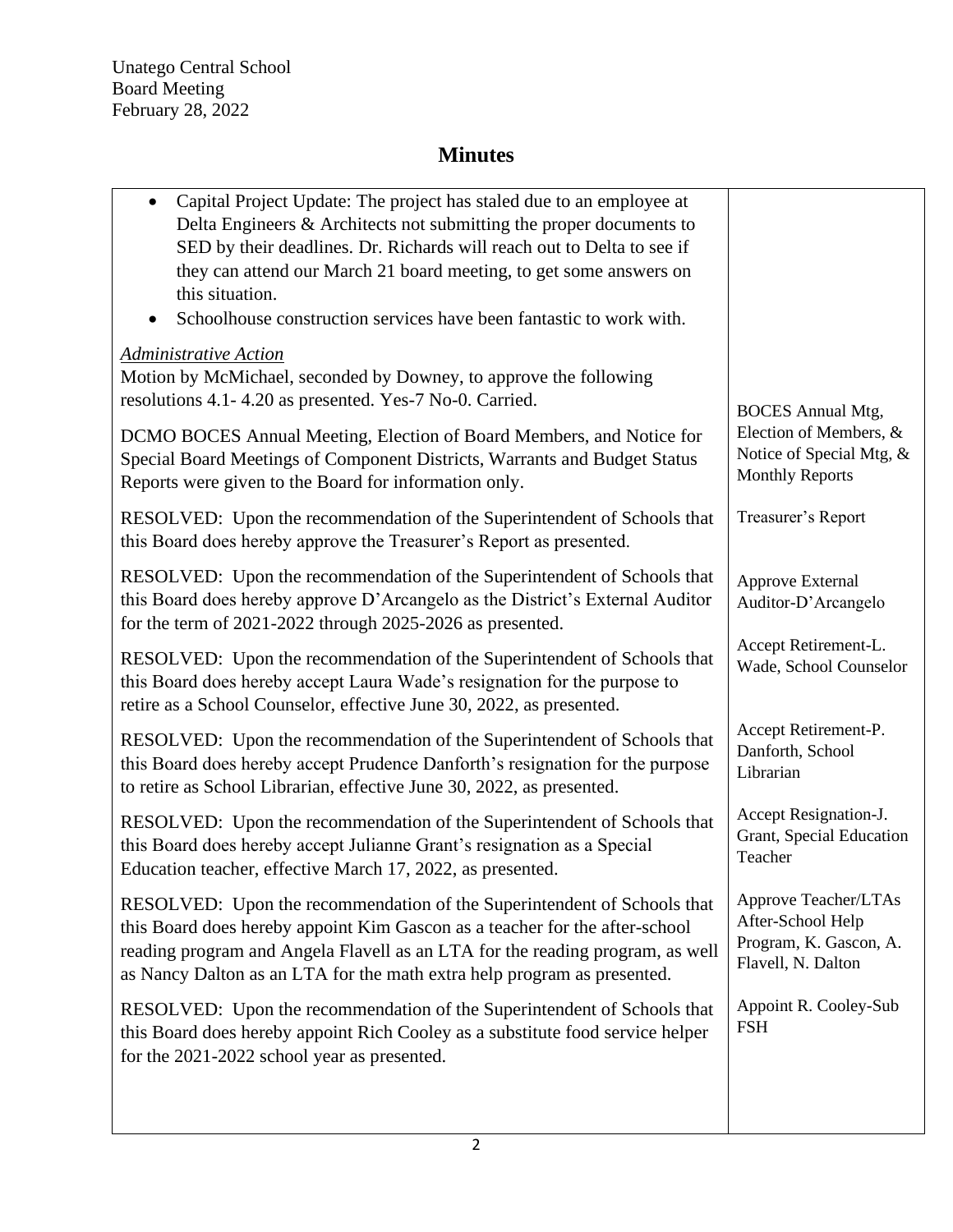Unatego Central School Board Meeting February 28, 2022

| Capital Project Update: The project has staled due to an employee at<br>Delta Engineers & Architects not submitting the proper documents to<br>SED by their deadlines. Dr. Richards will reach out to Delta to see if<br>they can attend our March 21 board meeting, to get some answers on<br>this situation.<br>Schoolhouse construction services have been fantastic to work with. |                                                                                           |
|---------------------------------------------------------------------------------------------------------------------------------------------------------------------------------------------------------------------------------------------------------------------------------------------------------------------------------------------------------------------------------------|-------------------------------------------------------------------------------------------|
| <b>Administrative Action</b>                                                                                                                                                                                                                                                                                                                                                          |                                                                                           |
| Motion by McMichael, seconded by Downey, to approve the following                                                                                                                                                                                                                                                                                                                     |                                                                                           |
| resolutions 4.1-4.20 as presented. Yes-7 No-0. Carried.                                                                                                                                                                                                                                                                                                                               | <b>BOCES</b> Annual Mtg,                                                                  |
| DCMO BOCES Annual Meeting, Election of Board Members, and Notice for<br>Special Board Meetings of Component Districts, Warrants and Budget Status<br>Reports were given to the Board for information only.                                                                                                                                                                            | Election of Members, &<br>Notice of Special Mtg, &<br><b>Monthly Reports</b>              |
| RESOLVED: Upon the recommendation of the Superintendent of Schools that<br>this Board does hereby approve the Treasurer's Report as presented.                                                                                                                                                                                                                                        | Treasurer's Report                                                                        |
| RESOLVED: Upon the recommendation of the Superintendent of Schools that<br>this Board does hereby approve D'Arcangelo as the District's External Auditor<br>for the term of 2021-2022 through 2025-2026 as presented.                                                                                                                                                                 | Approve External<br>Auditor-D'Arcangelo                                                   |
| RESOLVED: Upon the recommendation of the Superintendent of Schools that<br>this Board does hereby accept Laura Wade's resignation for the purpose to<br>retire as a School Counselor, effective June 30, 2022, as presented.                                                                                                                                                          | Accept Retirement-L.<br>Wade, School Counselor                                            |
| RESOLVED: Upon the recommendation of the Superintendent of Schools that<br>this Board does hereby accept Prudence Danforth's resignation for the purpose<br>to retire as School Librarian, effective June 30, 2022, as presented.                                                                                                                                                     | Accept Retirement-P.<br>Danforth, School<br>Librarian                                     |
| RESOLVED: Upon the recommendation of the Superintendent of Schools that<br>this Board does hereby accept Julianne Grant's resignation as a Special<br>Education teacher, effective March 17, 2022, as presented.                                                                                                                                                                      | Accept Resignation-J.<br>Grant, Special Education<br>Teacher                              |
| RESOLVED: Upon the recommendation of the Superintendent of Schools that<br>this Board does hereby appoint Kim Gascon as a teacher for the after-school<br>reading program and Angela Flavell as an LTA for the reading program, as well<br>as Nancy Dalton as an LTA for the math extra help program as presented.                                                                    | Approve Teacher/LTAs<br>After-School Help<br>Program, K. Gascon, A.<br>Flavell, N. Dalton |
| RESOLVED: Upon the recommendation of the Superintendent of Schools that<br>this Board does hereby appoint Rich Cooley as a substitute food service helper<br>for the 2021-2022 school year as presented.                                                                                                                                                                              | Appoint R. Cooley-Sub<br><b>FSH</b>                                                       |
|                                                                                                                                                                                                                                                                                                                                                                                       |                                                                                           |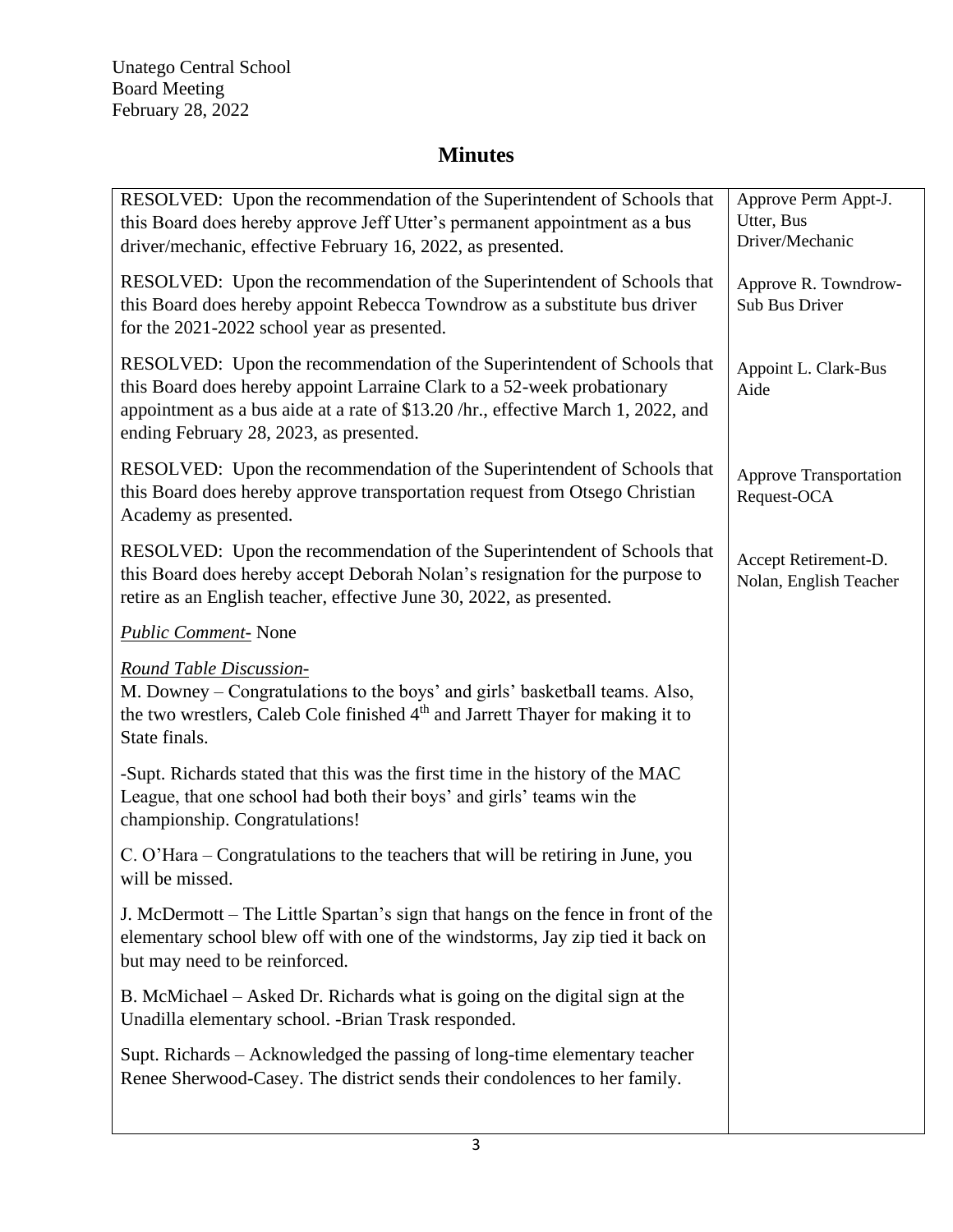Unatego Central School Board Meeting February 28, 2022

| RESOLVED: Upon the recommendation of the Superintendent of Schools that<br>this Board does hereby approve Jeff Utter's permanent appointment as a bus<br>driver/mechanic, effective February 16, 2022, as presented.                                                               | Approve Perm Appt-J.<br>Utter, Bus<br>Driver/Mechanic |
|------------------------------------------------------------------------------------------------------------------------------------------------------------------------------------------------------------------------------------------------------------------------------------|-------------------------------------------------------|
| RESOLVED: Upon the recommendation of the Superintendent of Schools that<br>this Board does hereby appoint Rebecca Towndrow as a substitute bus driver<br>for the 2021-2022 school year as presented.                                                                               | Approve R. Towndrow-<br>Sub Bus Driver                |
| RESOLVED: Upon the recommendation of the Superintendent of Schools that<br>this Board does hereby appoint Larraine Clark to a 52-week probationary<br>appointment as a bus aide at a rate of \$13.20 /hr., effective March 1, 2022, and<br>ending February 28, 2023, as presented. | Appoint L. Clark-Bus<br>Aide                          |
| RESOLVED: Upon the recommendation of the Superintendent of Schools that<br>this Board does hereby approve transportation request from Otsego Christian<br>Academy as presented.                                                                                                    | <b>Approve Transportation</b><br>Request-OCA          |
| RESOLVED: Upon the recommendation of the Superintendent of Schools that<br>this Board does hereby accept Deborah Nolan's resignation for the purpose to<br>retire as an English teacher, effective June 30, 2022, as presented.                                                    | Accept Retirement-D.<br>Nolan, English Teacher        |
| <b>Public Comment-</b> None                                                                                                                                                                                                                                                        |                                                       |
| Round Table Discussion-<br>M. Downey – Congratulations to the boys' and girls' basketball teams. Also,<br>the two wrestlers, Caleb Cole finished 4 <sup>th</sup> and Jarrett Thayer for making it to<br>State finals.                                                              |                                                       |
| -Supt. Richards stated that this was the first time in the history of the MAC<br>League, that one school had both their boys' and girls' teams win the<br>championship. Congratulations!                                                                                           |                                                       |
| C. O'Hara – Congratulations to the teachers that will be retiring in June, you<br>will be missed.                                                                                                                                                                                  |                                                       |
| J. McDermott – The Little Spartan's sign that hangs on the fence in front of the<br>elementary school blew off with one of the windstorms, Jay zip tied it back on<br>but may need to be reinforced.                                                                               |                                                       |
| B. McMichael – Asked Dr. Richards what is going on the digital sign at the<br>Unadilla elementary school. -Brian Trask responded.                                                                                                                                                  |                                                       |
| Supt. Richards – Acknowledged the passing of long-time elementary teacher<br>Renee Sherwood-Casey. The district sends their condolences to her family.                                                                                                                             |                                                       |
|                                                                                                                                                                                                                                                                                    |                                                       |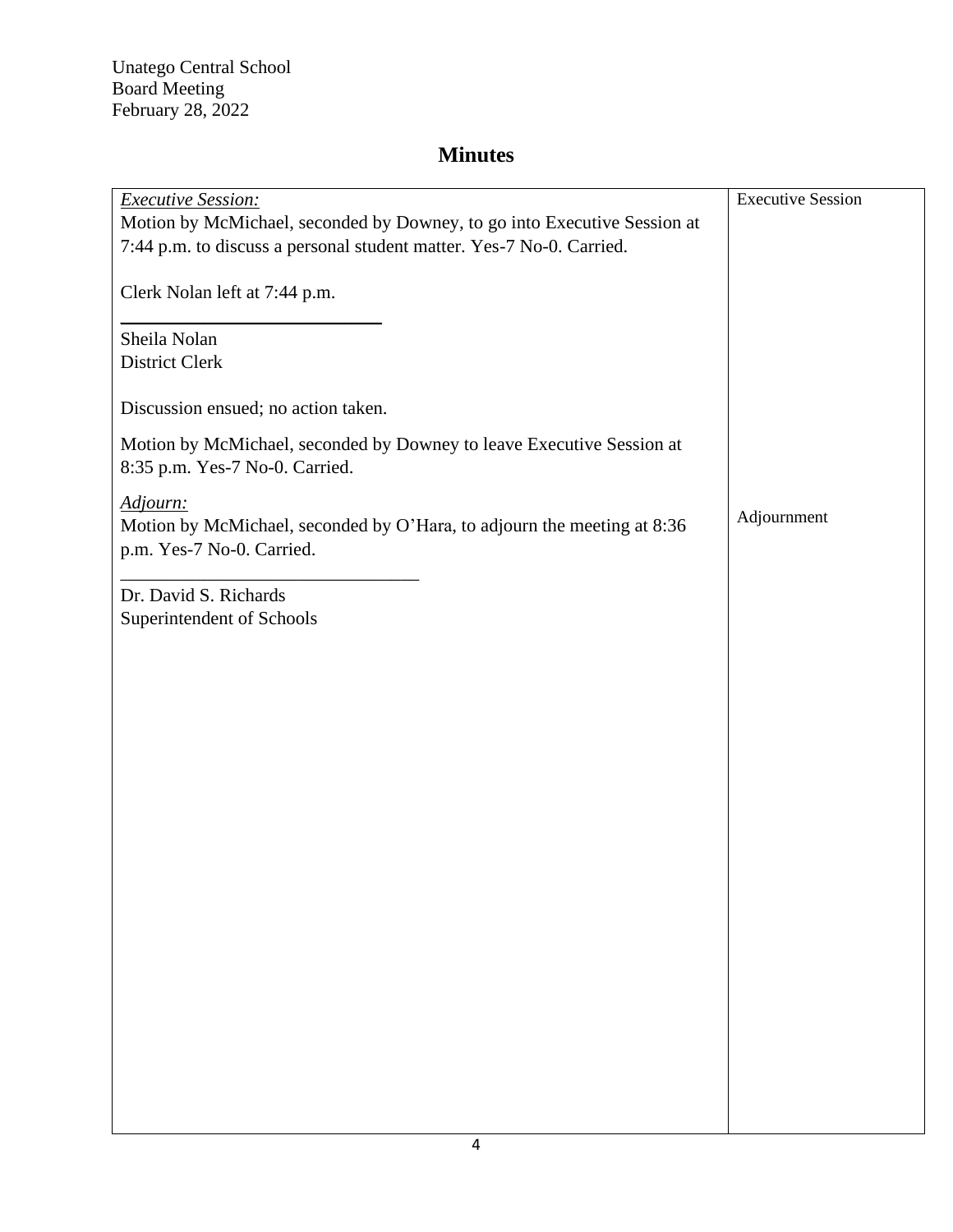| <b>Executive Session:</b>                                                | <b>Executive Session</b> |
|--------------------------------------------------------------------------|--------------------------|
| Motion by McMichael, seconded by Downey, to go into Executive Session at |                          |
| 7:44 p.m. to discuss a personal student matter. Yes-7 No-0. Carried.     |                          |
|                                                                          |                          |
| Clerk Nolan left at 7:44 p.m.                                            |                          |
|                                                                          |                          |
| Sheila Nolan                                                             |                          |
| District Clerk                                                           |                          |
|                                                                          |                          |
| Discussion ensued; no action taken.                                      |                          |
| Motion by McMichael, seconded by Downey to leave Executive Session at    |                          |
| 8:35 p.m. Yes-7 No-0. Carried.                                           |                          |
|                                                                          |                          |
| Adjourn:                                                                 |                          |
| Motion by McMichael, seconded by O'Hara, to adjourn the meeting at 8:36  | Adjournment              |
| p.m. Yes-7 No-0. Carried.                                                |                          |
|                                                                          |                          |
| Dr. David S. Richards                                                    |                          |
| Superintendent of Schools                                                |                          |
|                                                                          |                          |
|                                                                          |                          |
|                                                                          |                          |
|                                                                          |                          |
|                                                                          |                          |
|                                                                          |                          |
|                                                                          |                          |
|                                                                          |                          |
|                                                                          |                          |
|                                                                          |                          |
|                                                                          |                          |
|                                                                          |                          |
|                                                                          |                          |
|                                                                          |                          |
|                                                                          |                          |
|                                                                          |                          |
|                                                                          |                          |
|                                                                          |                          |
|                                                                          |                          |
|                                                                          |                          |
|                                                                          |                          |
|                                                                          |                          |
|                                                                          |                          |